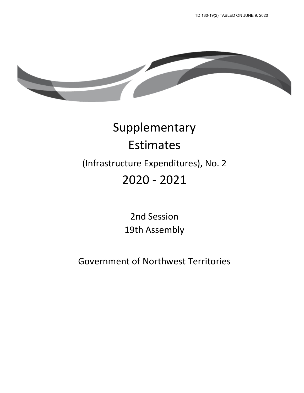TD 130-19(2) TABLED ON JUNE 9, 2020



# Supplementary Estimates (Infrastructure Expenditures), No. 2 2020 ‐ 2021

2nd Session 19th Assembly

Government of Northwest Territories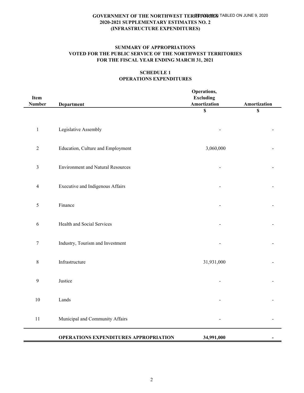### **SUMMARY OF APPROPRIATIONS VOTED FOR THE PUBLIC SERVICE OF THE NORTHWEST TERRITORIES FOR THE FISCAL YEAR ENDING MARCH 31, 2021**

## **SCHEDULE 1 OPERATIONS EXPENDITURES**

| Item                    |                                              | Operations,<br><b>Excluding</b> |              |
|-------------------------|----------------------------------------------|---------------------------------|--------------|
| <b>Number</b>           | <b>Department</b>                            | Amortization                    | Amortization |
|                         |                                              | $\mathbb S$                     | $\mathbb S$  |
| $\,1\,$                 | Legislative Assembly                         |                                 |              |
| $\sqrt{2}$              | Education, Culture and Employment            | 3,060,000                       |              |
| $\mathfrak{Z}$          | <b>Environment and Natural Resources</b>     |                                 |              |
| $\overline{\mathbf{4}}$ | Executive and Indigenous Affairs             |                                 |              |
| $\mathfrak s$           | Finance                                      |                                 |              |
| 6                       | Health and Social Services                   |                                 |              |
| $\tau$                  | Industry, Tourism and Investment             |                                 |              |
| $\,$ $\,$               | Infrastructure                               | 31,931,000                      |              |
| 9                       | Justice                                      |                                 |              |
| $10\,$                  | Lands                                        |                                 |              |
| 11                      | Municipal and Community Affairs              |                                 |              |
|                         | <b>OPERATIONS EXPENDITURES APPROPRIATION</b> | 34,991,000                      |              |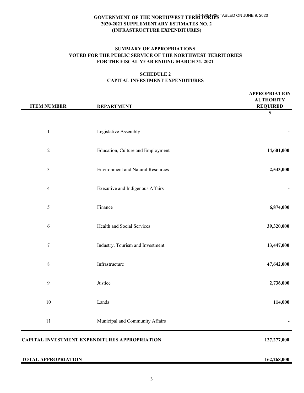#### **SUMMARY OF APPROPRIATIONS VOTED FOR THE PUBLIC SERVICE OF THE NORTHWEST TERRITORIES FOR THE FISCAL YEAR ENDING MARCH 31, 2021**

#### **SCHEDULE 2 CAPITAL INVESTMENT EXPENDITURES**

| <b>ITEM NUMBER</b> | <b>DEPARTMENT</b>                        | <b>APPROPRIATION</b><br><b>AUTHORITY</b><br><b>REQUIRED</b> |
|--------------------|------------------------------------------|-------------------------------------------------------------|
|                    |                                          | $\mathbb S$                                                 |
| $\mathbf{1}$       | Legislative Assembly                     |                                                             |
| $\overline{2}$     | Education, Culture and Employment        | 14,601,000                                                  |
| $\mathfrak{Z}$     | <b>Environment and Natural Resources</b> | 2,543,000                                                   |
| $\overline{4}$     | Executive and Indigenous Affairs         |                                                             |
| $\mathfrak s$      | Finance                                  | 6,874,000                                                   |
| 6                  | Health and Social Services               | 39,320,000                                                  |
| $\boldsymbol{7}$   | Industry, Tourism and Investment         | 13,447,000                                                  |
| $\,$ 8 $\,$        | Infrastructure                           | 47,642,000                                                  |
| 9                  | Justice                                  | 2,736,000                                                   |
| 10                 | Lands                                    | 114,000                                                     |
| $11\,$             | Municipal and Community Affairs          |                                                             |
|                    |                                          |                                                             |

## **CAPITAL INVESTMENT EXPENDITURES APPROPRIATION 127,277,000**

#### **TOTAL APPROPRIATION 162,268,000**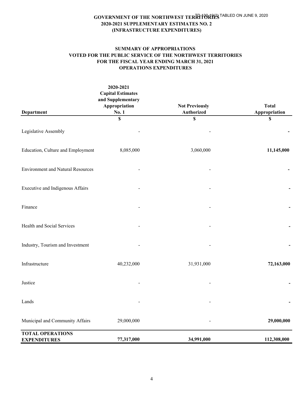## **SUMMARY OF APPROPRIATIONS VOTED FOR THE PUBLIC SERVICE OF THE NORTHWEST TERRITORIES FOR THE FISCAL YEAR ENDING MARCH 31, 2021 OPERATIONS EXPENDITURES**

| Department                                     | 2020-2021<br><b>Capital Estimates</b><br>and Supplementary<br>Appropriation<br>No. 1 | <b>Not Previously</b><br><b>Authorized</b> | <b>Total</b><br>Appropriation |
|------------------------------------------------|--------------------------------------------------------------------------------------|--------------------------------------------|-------------------------------|
|                                                | \$                                                                                   | \$                                         | \$                            |
| Legislative Assembly                           |                                                                                      |                                            |                               |
| Education, Culture and Employment              | 8,085,000                                                                            | 3,060,000                                  | 11,145,000                    |
| <b>Environment and Natural Resources</b>       |                                                                                      |                                            |                               |
| Executive and Indigenous Affairs               |                                                                                      |                                            |                               |
| Finance                                        |                                                                                      |                                            |                               |
| Health and Social Services                     |                                                                                      |                                            |                               |
| Industry, Tourism and Investment               |                                                                                      |                                            |                               |
| Infrastructure                                 | 40,232,000                                                                           | 31,931,000                                 | 72,163,000                    |
| Justice                                        |                                                                                      |                                            |                               |
| Lands                                          |                                                                                      |                                            |                               |
| Municipal and Community Affairs                | 29,000,000                                                                           |                                            | 29,000,000                    |
| <b>TOTAL OPERATIONS</b><br><b>EXPENDITURES</b> | 77,317,000                                                                           | 34,991,000                                 | 112,308,000                   |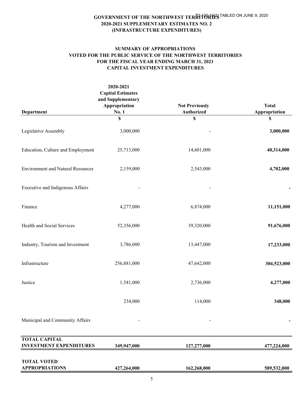#### **SUMMARY OF APPROPRIATIONS VOTED FOR THE PUBLIC SERVICE OF THE NORTHWEST TERRITORIES FOR THE FISCAL YEAR ENDING MARCH 31, 2021 CAPITAL INVESTMENT EXPENDITURES**

|                                                        | 2020-2021<br><b>Capital Estimates</b>       |                                     |                               |
|--------------------------------------------------------|---------------------------------------------|-------------------------------------|-------------------------------|
| Department                                             | and Supplementary<br>Appropriation<br>No. 1 | <b>Not Previously</b><br>Authorized | <b>Total</b><br>Appropriation |
|                                                        | \$                                          | \$                                  | \$                            |
| Legislative Assembly                                   | 3,000,000                                   |                                     | 3,000,000                     |
| Education, Culture and Employment                      | 25,713,000                                  | 14,601,000                          | 40,314,000                    |
| <b>Environment and Natural Resources</b>               | 2,159,000                                   | 2,543,000                           | 4,702,000                     |
| Executive and Indigenous Affairs                       |                                             |                                     |                               |
| Finance                                                | 4,277,000                                   | 6,874,000                           | 11,151,000                    |
| Health and Social Services                             | 52,356,000                                  | 39,320,000                          | 91,676,000                    |
| Industry, Tourism and Investment                       | 3,786,000                                   | 13,447,000                          | 17,233,000                    |
| Infrastructure                                         | 256,881,000                                 | 47,642,000                          | 304,523,000                   |
| Justice                                                | 1,541,000                                   | 2,736,000                           | 4,277,000                     |
|                                                        | 234,000                                     | 114,000                             | 348,000                       |
| Municipal and Community Affairs                        |                                             |                                     |                               |
| <b>TOTAL CAPITAL</b><br><b>INVESTMENT EXPENDITURES</b> | 349,947,000                                 | 127,277,000                         | 477,224,000                   |
| <b>TOTAL VOTED</b><br><b>APPROPRIATIONS</b>            | 427,264,000                                 | 162,268,000                         | 589,532,000                   |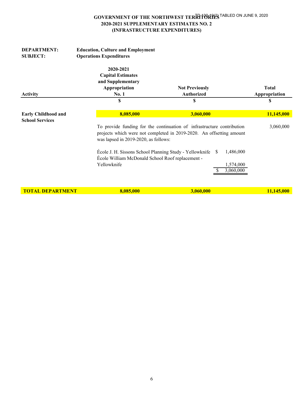| <b>DEPARTMENT:</b><br><b>SUBJECT:</b>                | <b>Education, Culture and Employment</b><br><b>Operations Expenditures</b>                                                                                                             |                                            |                        |                               |
|------------------------------------------------------|----------------------------------------------------------------------------------------------------------------------------------------------------------------------------------------|--------------------------------------------|------------------------|-------------------------------|
| <b>Activity</b>                                      | 2020-2021<br><b>Capital Estimates</b><br>and Supplementary<br>Appropriation<br><b>No. 1</b>                                                                                            | <b>Not Previously</b><br><b>Authorized</b> |                        | <b>Total</b><br>Appropriation |
|                                                      | \$                                                                                                                                                                                     | \$                                         |                        | \$                            |
| <b>Early Childhood and</b><br><b>School Services</b> | 8,085,000                                                                                                                                                                              | 3,060,000                                  |                        | 11,145,000                    |
|                                                      | To provide funding for the continuation of infrastructure contribution<br>projects which were not completed in 2019-2020. An offsetting amount<br>was lapsed in 2019-2020, as follows: |                                            |                        | 3,060,000                     |
|                                                      | École J. H. Sissons School Planning Study - Yellowknife<br>École William McDonald School Roof replacement -                                                                            | -SS                                        | 1,486,000              |                               |
|                                                      | Yellowknife                                                                                                                                                                            |                                            | 1,574,000<br>3,060,000 |                               |

**TOTAL DEPARTMENT 8,085,000 3,060,000 11,145,000**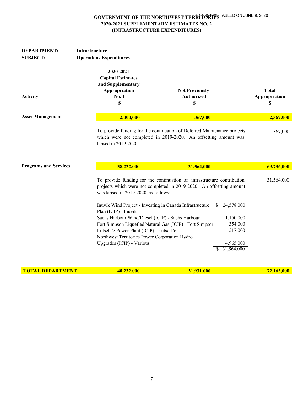| <b>DEPARTMENT:</b><br><b>SUBJECT:</b> | Infrastructure<br><b>Operations Expenditures</b>                                                                                                                                                                                                                                                                                                                   |                                                                                                                                                                                                                                       |                               |  |  |
|---------------------------------------|--------------------------------------------------------------------------------------------------------------------------------------------------------------------------------------------------------------------------------------------------------------------------------------------------------------------------------------------------------------------|---------------------------------------------------------------------------------------------------------------------------------------------------------------------------------------------------------------------------------------|-------------------------------|--|--|
| <b>Activity</b>                       | 2020-2021<br><b>Capital Estimates</b><br>and Supplementary<br>Appropriation<br><b>No. 1</b>                                                                                                                                                                                                                                                                        | <b>Not Previously</b><br><b>Authorized</b>                                                                                                                                                                                            | <b>Total</b><br>Appropriation |  |  |
|                                       | \$                                                                                                                                                                                                                                                                                                                                                                 | \$                                                                                                                                                                                                                                    | \$                            |  |  |
| <b>Asset Management</b>               | 2,000,000                                                                                                                                                                                                                                                                                                                                                          | 367,000                                                                                                                                                                                                                               | 2,367,000                     |  |  |
|                                       | lapsed in 2019-2020.                                                                                                                                                                                                                                                                                                                                               | To provide funding for the continuation of Deferred Maintenance projects<br>which were not completed in 2019-2020. An offsetting amount was                                                                                           | 367,000                       |  |  |
| <b>Programs and Services</b>          | 38,232,000                                                                                                                                                                                                                                                                                                                                                         | 31,564,000                                                                                                                                                                                                                            | 69,796,000                    |  |  |
|                                       | was lapsed in 2019-2020, as follows:<br>Inuvik Wind Project - Investing in Canada Infrastructure<br>Plan (ICIP) - Inuvik<br>Sachs Harbour Wind/Diesel (ICIP) - Sachs Harbour<br>Fort Simpson Liquefied Natural Gas (ICIP) - Fort Simpson<br>Łutselk'e Power Plant (ICIP) - Łutselk'e<br>Northwest Territories Power Corporation Hydro<br>Upgrades (ICIP) - Various | To provide funding for the continuation of infrastructure contribution<br>projects which were not completed in 2019-2020. An offsetting amount<br>24,578,000<br>S.<br>1,150,000<br>354,000<br>517,000<br>4,965,000<br>31,564,000<br>S | 31,564,000                    |  |  |

**TOTAL DEPARTMENT** 40,232,000 31,931,000 31,931,000 72,163,000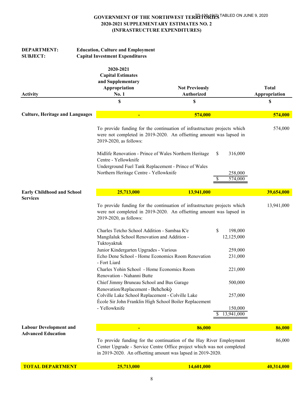| <b>DEPARTMENT:</b><br><b>SUBJECT:</b>                      |  | <b>Education, Culture and Employment</b><br><b>Capital Investment Expenditures</b>                                                                                                                                                                                                                                                                                                                                                                                                                                                                                                                                                                                                                 |                                            |                                                                                                             |                               |
|------------------------------------------------------------|--|----------------------------------------------------------------------------------------------------------------------------------------------------------------------------------------------------------------------------------------------------------------------------------------------------------------------------------------------------------------------------------------------------------------------------------------------------------------------------------------------------------------------------------------------------------------------------------------------------------------------------------------------------------------------------------------------------|--------------------------------------------|-------------------------------------------------------------------------------------------------------------|-------------------------------|
| <b>Activity</b>                                            |  | 2020-2021<br><b>Capital Estimates</b><br>and Supplementary<br>Appropriation<br>No. 1                                                                                                                                                                                                                                                                                                                                                                                                                                                                                                                                                                                                               | <b>Not Previously</b><br><b>Authorized</b> |                                                                                                             | <b>Total</b><br>Appropriation |
|                                                            |  | \$                                                                                                                                                                                                                                                                                                                                                                                                                                                                                                                                                                                                                                                                                                 | \$                                         |                                                                                                             | \$                            |
|                                                            |  |                                                                                                                                                                                                                                                                                                                                                                                                                                                                                                                                                                                                                                                                                                    |                                            |                                                                                                             |                               |
| <b>Culture, Heritage and Languages</b>                     |  |                                                                                                                                                                                                                                                                                                                                                                                                                                                                                                                                                                                                                                                                                                    | 574,000                                    |                                                                                                             | 574,000                       |
|                                                            |  | To provide funding for the continuation of infrastructure projects which<br>were not completed in 2019-2020. An offsetting amount was lapsed in<br>2019-2020, as follows:<br>Midlife Renovation - Prince of Wales Northern Heritage<br>Centre - Yellowknife<br>Underground Fuel Tank Replacement - Prince of Wales<br>Northern Heritage Centre - Yellowknife                                                                                                                                                                                                                                                                                                                                       |                                            | S<br>316,000<br>258,000<br>\$<br>574,000                                                                    | 574,000                       |
| <b>Early Childhood and School</b>                          |  | 25,713,000                                                                                                                                                                                                                                                                                                                                                                                                                                                                                                                                                                                                                                                                                         | 13,941,000                                 |                                                                                                             | 39,654,000                    |
| <b>Services</b>                                            |  | To provide funding for the continuation of infrastructure projects which<br>were not completed in 2019-2020. An offsetting amount was lapsed in<br>2019-2020, as follows:<br>Charles Tetcho School Addition - Sambaa K'e<br>Mangilaluk School Renovation and Addition -<br>Tuktoyaktuk<br>Junior Kindergarten Upgrades - Various<br>Echo Dene School - Home Economics Room Renovation<br>- Fort Liard<br>Charles Yohin School - Home Economics Room<br>Renovation - Nahanni Butte<br>Chief Jimmy Bruneau School and Bus Garage<br>Renovation/Replacement - Behchokò<br>Colville Lake School Replacement - Colville Lake<br>École Sir John Franklin High School Boiler Replacement<br>- Yellowknife |                                            | \$<br>198,000<br>12,125,000<br>259,000<br>231,000<br>221,000<br>500,000<br>257,000<br>150,000<br>13,941,000 | 13,941,000                    |
| <b>Labour Development and</b><br><b>Advanced Education</b> |  |                                                                                                                                                                                                                                                                                                                                                                                                                                                                                                                                                                                                                                                                                                    | 86,000                                     |                                                                                                             | 86,000                        |
|                                                            |  | To provide funding for the continuation of the Hay River Employment<br>Center Upgrade - Service Centre Office project which was not completed<br>in 2019-2020. An offsetting amount was lapsed in 2019-2020.                                                                                                                                                                                                                                                                                                                                                                                                                                                                                       |                                            |                                                                                                             | 86,000                        |
| <b>TOTAL DEPARTMENT</b>                                    |  | 25,713,000                                                                                                                                                                                                                                                                                                                                                                                                                                                                                                                                                                                                                                                                                         | 14,601,000                                 |                                                                                                             | 40,314,000                    |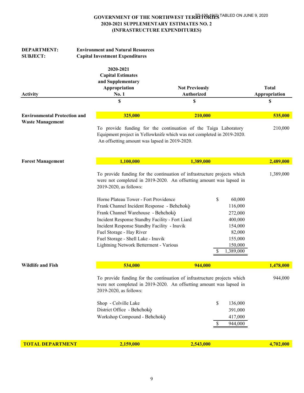| <b>DEPARTMENT:</b><br><b>SUBJECT:</b> | <b>Environment and Natural Resources</b><br><b>Capital Investment Expenditures</b>                                                                                                                                                                                                                                                                                |                                                                                                                                                                                                                                                               |                               |
|---------------------------------------|-------------------------------------------------------------------------------------------------------------------------------------------------------------------------------------------------------------------------------------------------------------------------------------------------------------------------------------------------------------------|---------------------------------------------------------------------------------------------------------------------------------------------------------------------------------------------------------------------------------------------------------------|-------------------------------|
| Activity                              | 2020-2021<br><b>Capital Estimates</b><br>and Supplementary<br>Appropriation<br>No. 1                                                                                                                                                                                                                                                                              | <b>Not Previously</b><br>Authorized                                                                                                                                                                                                                           | <b>Total</b><br>Appropriation |
|                                       | S                                                                                                                                                                                                                                                                                                                                                                 | S                                                                                                                                                                                                                                                             | \$                            |
| <b>Environmental Protection and</b>   | 325,000                                                                                                                                                                                                                                                                                                                                                           | 210,000                                                                                                                                                                                                                                                       | 535,000                       |
| <b>Waste Management</b>               | An offsetting amount was lapsed in 2019-2020.                                                                                                                                                                                                                                                                                                                     | To provide funding for the continuation of the Taiga Laboratory<br>Equipment project in Yellowknife which was not completed in 2019-2020.                                                                                                                     | 210,000                       |
| <b>Forest Management</b>              | 1,100,000                                                                                                                                                                                                                                                                                                                                                         | 1,389,000                                                                                                                                                                                                                                                     | 2,489,000                     |
|                                       | 2019-2020, as follows:<br>Horne Plateau Tower - Fort Providence<br>Frank Channel Incident Response - Behchokò<br>Frank Channel Warehouse - Behchokò<br>Incident Response Standby Facility - Fort Liard<br>Incident Response Standby Facility - Inuvik<br>Fuel Storage - Hay River<br>Fuel Storage - Shell Lake - Inuvik<br>Lightning Network Betterment - Various | To provide funding for the continuation of infrastructure projects which<br>were not completed in 2019-2020. An offsetting amount was lapsed in<br>\$<br>60,000<br>116,000<br>272,000<br>400,000<br>154,000<br>82,000<br>155,000<br>150,000<br>1,389,000<br>S | 1,389,000                     |
| <b>Wildlife and Fish</b>              | 534,000                                                                                                                                                                                                                                                                                                                                                           | 944,000                                                                                                                                                                                                                                                       | 1,478,000                     |
|                                       | 2019-2020, as follows:<br>Shop - Colville Lake<br>District Office - Behchokò<br>Workshop Compound - Behchokò                                                                                                                                                                                                                                                      | To provide funding for the continuation of infrastructure projects which<br>were not completed in 2019-2020. An offsetting amount was lapsed in<br>\$<br>136,000<br>391,000<br>417,000<br>944,000<br>\$.                                                      | 944,000                       |
| <b>TOTAL DEPARTMENT</b>               | 2,159,000                                                                                                                                                                                                                                                                                                                                                         | 2,543,000                                                                                                                                                                                                                                                     | 4,702,000                     |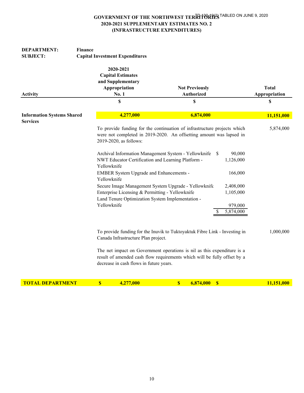| <b>SUBJECT:</b>                   | <b>Capital Investment Expenditures</b><br>2020-2021<br><b>Capital Estimates</b><br>and Supplementary<br>Appropriation<br>No. 1<br>\$                | <b>Not Previously</b><br><b>Authorized</b><br>\$                                                                                                      |                      | <b>Total</b>  |
|-----------------------------------|-----------------------------------------------------------------------------------------------------------------------------------------------------|-------------------------------------------------------------------------------------------------------------------------------------------------------|----------------------|---------------|
|                                   |                                                                                                                                                     |                                                                                                                                                       |                      |               |
| <b>Activity</b>                   |                                                                                                                                                     |                                                                                                                                                       |                      | Appropriation |
|                                   |                                                                                                                                                     |                                                                                                                                                       |                      | \$            |
|                                   |                                                                                                                                                     |                                                                                                                                                       |                      |               |
| <b>Information Systems Shared</b> | 4,277,000                                                                                                                                           | 6,874,000                                                                                                                                             |                      | 11,151,000    |
| <b>Services</b>                   |                                                                                                                                                     |                                                                                                                                                       |                      |               |
|                                   | 2019-2020, as follows:<br>Archival Information Management System - Yellowknife<br>NWT Educator Certification and Learning Platform -<br>Yellowknife | To provide funding for the continuation of infrastructure projects which<br>were not completed in 2019-2020. An offsetting amount was lapsed in<br>\$ | 90,000<br>1,126,000  | 5,874,000     |
|                                   | EMBER System Upgrade and Enhancements -<br>Yellowknife                                                                                              |                                                                                                                                                       | 166,000              |               |
|                                   | Secure Image Management System Upgrade - Yellowknife                                                                                                |                                                                                                                                                       | 2,408,000            |               |
|                                   | Enterprise Licensing & Permitting - Yellowknife                                                                                                     |                                                                                                                                                       | 1,105,000            |               |
|                                   | Land Tenure Optimization System Implementation -<br>Yellowknife                                                                                     |                                                                                                                                                       |                      |               |
|                                   |                                                                                                                                                     | S                                                                                                                                                     | 979,000<br>5,874,000 |               |
|                                   | Canada Infrastructure Plan project.                                                                                                                 | To provide funding for the Inuvik to Tuktoyaktuk Fibre Link - Investing in                                                                            |                      | 1,000,000     |
|                                   | decrease in cash flows in future years.                                                                                                             | The net impact on Government operations is nil as this expenditure is a<br>result of amended cash flow requirements which will be fully offset by a   |                      |               |
| <b>TOTAL DEPARTMENT</b>           | $\boldsymbol{s}$<br>4,277,000                                                                                                                       | $\boldsymbol{\mathsf{S}}$<br>$\overline{\mathbf{S}}$<br>6,874,000                                                                                     |                      | 11,151,000    |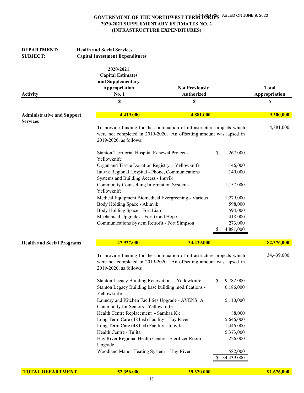| <b>DEPARTMENT:</b><br><b>SUBJECT:</b> | <b>Health and Social Services</b><br><b>Capital Investment Expenditures</b>                             |                                                                                                                                                        |                                                                    |                               |
|---------------------------------------|---------------------------------------------------------------------------------------------------------|--------------------------------------------------------------------------------------------------------------------------------------------------------|--------------------------------------------------------------------|-------------------------------|
| <b>Activity</b>                       | 2020-2021<br><b>Capital Estimates</b><br>and Supplementary<br>Appropriation<br><b>No. 1</b>             | <b>Not Previously</b><br><b>Authorized</b>                                                                                                             |                                                                    | <b>Total</b><br>Appropriation |
|                                       | \$                                                                                                      | \$                                                                                                                                                     |                                                                    | \$                            |
| <b>Administrative and Support</b>     | 4,419,000                                                                                               | 4,881,000                                                                                                                                              |                                                                    | 9,300,000                     |
| <b>Services</b>                       | 2019-2020, as follows:                                                                                  | To provide funding for the continuation of infrastructure projects which<br>were not completed in 2019-2020. An offsetting amount was lapsed in        |                                                                    | 4,881,000                     |
|                                       | Yellowknife<br>Systems and Building Access - Inuvik                                                     | Stanton Territorial Hospital Renewal Project -<br>Organ and Tissue Donation Registry - Yellowknife<br>Inuvik Regional Hospital - Phone, Communications | \$<br>267,000<br>146,000<br>149,000                                |                               |
|                                       | Yellowknife                                                                                             | Community Counselling Information System -                                                                                                             | 1,157,000                                                          |                               |
|                                       | Body Holding Space - Aklavik<br>Body Holding Space - Fort Liard<br>Mechanical Upgrades - Fort Good Hope | Medical Equipment Biomedical Evergreening - Various<br>Communications System Retrofit - Fort Simpson                                                   | 1,279,000<br>598,000<br>594,000<br>418,000<br>273,000<br>4,881,000 |                               |
| <b>Health and Social Programs</b>     | 47,937,000                                                                                              | 34,439,000                                                                                                                                             |                                                                    | 82,376,000                    |
|                                       | 2019-2020, as follows:                                                                                  | To provide funding for the continuation of infrastructure projects which<br>were not completed in 2019-2020. An offsetting amount was lapsed in        |                                                                    | 34,439,000                    |
|                                       | Yellowknife                                                                                             | Stanton Legacy Building Renovations - Yellowknife<br>Stanton Legacy Building base building modifications -                                             | 9,782,000<br>S.<br>6,186,000                                       |                               |
|                                       | Community for Seniors - Yellowknife                                                                     | Laundry and Kitchen Facilities Upgrade - AVENS: A                                                                                                      | 5,110,000                                                          |                               |
|                                       |                                                                                                         | Health Centre Replacement - Sambaa K'e                                                                                                                 | 88,000                                                             |                               |
|                                       |                                                                                                         | Long Term Care (48 bed) Facility - Hay River                                                                                                           | 5,646,000                                                          |                               |
|                                       | Health Centre - Tulita                                                                                  | Long Term Care (48 bed) Facility - Inuvik                                                                                                              | 1,446,000                                                          |                               |
|                                       | Upgrade                                                                                                 | Hay River Regional Health Centre - Sterilizer Room                                                                                                     | 5,373,000<br>226,000                                               |                               |
|                                       |                                                                                                         | Woodland Manor Heating System - Hay River                                                                                                              | 582,000<br>34,439,000                                              |                               |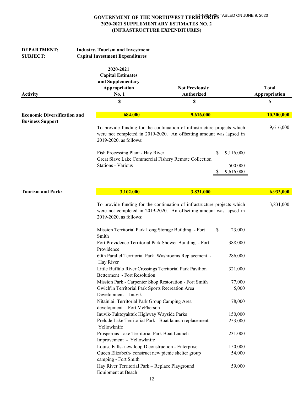| <b>DEPARTMENT:</b><br><b>SUBJECT:</b>                          | <b>Industry, Tourism and Investment</b><br><b>Capital Investment Expenditures</b>    |                                                                                                                                                 |                           |                               |
|----------------------------------------------------------------|--------------------------------------------------------------------------------------|-------------------------------------------------------------------------------------------------------------------------------------------------|---------------------------|-------------------------------|
| <b>Activity</b>                                                | 2020-2021<br><b>Capital Estimates</b><br>and Supplementary<br>Appropriation<br>No. 1 | <b>Not Previously</b><br><b>Authorized</b>                                                                                                      |                           | <b>Total</b><br>Appropriation |
|                                                                | \$                                                                                   | \$                                                                                                                                              |                           | \$                            |
| <b>Economic Diversification and</b><br><b>Business Support</b> | 684,000                                                                              | 9,616,000                                                                                                                                       |                           | 10,300,000                    |
|                                                                | 2019-2020, as follows:                                                               | To provide funding for the continuation of infrastructure projects which<br>were not completed in 2019-2020. An offsetting amount was lapsed in |                           | 9,616,000                     |
|                                                                | Fish Processing Plant - Hay River                                                    | Great Slave Lake Commercial Fishery Remote Collection                                                                                           | \$<br>9,116,000           |                               |
|                                                                | <b>Stations - Various</b>                                                            |                                                                                                                                                 | 500,000<br>9,616,000<br>S |                               |
| <b>Tourism and Parks</b>                                       | 3,102,000                                                                            | 3,831,000                                                                                                                                       |                           | 6,933,000                     |
|                                                                | 2019-2020, as follows:                                                               | To provide funding for the continuation of infrastructure projects which<br>were not completed in 2019-2020. An offsetting amount was lapsed in |                           | 3,831,000                     |
|                                                                | Smith                                                                                | Mission Territorial Park Long Storage Building - Fort                                                                                           | \$<br>23,000              |                               |
|                                                                | Providence                                                                           | Fort Providence Territorial Park Shower Building - Fort                                                                                         | 388,000                   |                               |
|                                                                | Hay River                                                                            | 60th Parallel Territorial Park Washrooms Replacement -                                                                                          | 286,000                   |                               |
|                                                                | Betterment - Fort Resolution                                                         | Little Buffalo River Crossings Territorial Park Pavilion                                                                                        | 321,000                   |                               |
|                                                                | Gwich'in Territorial Park Sports Recreation Area<br>Development - Inuvik             | Mission Park - Carpenter Shop Restoration - Fort Smith                                                                                          | 77,000<br>5,000           |                               |
|                                                                | Nitainlaii Territorial Park Group Camping Area<br>development - Fort McPherson       |                                                                                                                                                 | 78,000                    |                               |
|                                                                | Inuvik-Tuktoyaktuk Highway Wayside Parks                                             |                                                                                                                                                 | 150,000                   |                               |
|                                                                | Yellowknife                                                                          | Prelude Lake Territorial Park - Boat launch replacement -                                                                                       | 253,000                   |                               |
|                                                                | Prosperous Lake Territorial Park Boat Launch<br>Improvement - Yellowknife            |                                                                                                                                                 | 231,000                   |                               |
|                                                                | Louise Falls- new loop D construction - Enterprise                                   |                                                                                                                                                 | 150,000                   |                               |
|                                                                | camping - Fort Smith                                                                 | Queen Elizabeth- construct new picnic shelter group                                                                                             | 54,000                    |                               |
|                                                                | Hay River Territorial Park - Replace Playground<br><b>Equipment at Beach</b>         |                                                                                                                                                 | 59,000                    |                               |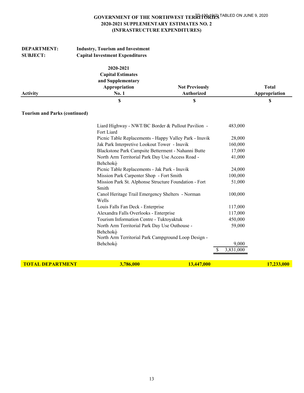| <b>DEPARTMENT:</b><br><b>SUBJECT:</b> | <b>Industry, Tourism and Investment</b><br><b>Capital Investment Expenditures</b>    |                                            |           |                               |
|---------------------------------------|--------------------------------------------------------------------------------------|--------------------------------------------|-----------|-------------------------------|
| <b>Activity</b>                       | 2020-2021<br><b>Capital Estimates</b><br>and Supplementary<br>Appropriation<br>No. 1 | <b>Not Previously</b><br><b>Authorized</b> |           | <b>Total</b><br>Appropriation |
|                                       | \$                                                                                   | \$                                         |           | \$                            |
| <b>Tourism and Parks (continued)</b>  |                                                                                      |                                            |           |                               |
|                                       | Liard Highway - NWT/BC Border & Pullout Pavilion -<br>Fort Liard                     |                                            | 483,000   |                               |
|                                       | Picnic Table Replacements - Happy Valley Park - Inuvik                               |                                            | 28,000    |                               |
|                                       | Jak Park Interpretive Lookout Tower - Inuvik                                         |                                            | 160,000   |                               |
|                                       | Blackstone Park Campsite Betterment - Nahanni Butte                                  |                                            | 17,000    |                               |
|                                       | North Arm Territorial Park Day Use Access Road -<br>Behchokò                         |                                            | 41,000    |                               |
|                                       | Picnic Table Replacements - Jak Park - Inuvik                                        |                                            | 24,000    |                               |
|                                       | Mission Park Carpenter Shop - Fort Smith                                             |                                            | 100,000   |                               |
|                                       | Mission Park St. Alphonse Structure Foundation - Fort<br>Smith                       |                                            | 51,000    |                               |
|                                       | Canol Heritage Trail Emergency Shelters - Norman<br>Wells                            |                                            | 100,000   |                               |
|                                       | Louis Falls Fan Deck - Enterprise                                                    |                                            | 117,000   |                               |
|                                       | Alexandra Falls Overlooks - Enterprise                                               |                                            | 117,000   |                               |
|                                       | Tourism Information Centre - Tuktoyaktuk                                             |                                            | 450,000   |                               |
|                                       | North Arm Territorial Park Day Use Outhouse -                                        |                                            | 59,000    |                               |
|                                       | Behchokò<br>North Arm Territorial Park Campground Loop Design -                      |                                            |           |                               |
|                                       | Behchokò                                                                             |                                            | 9,000     |                               |
|                                       |                                                                                      |                                            | 3,831,000 |                               |
| <b>TOTAL DEPARTMENT</b>               | 3,786,000                                                                            | 13,447,000                                 |           | 17,233,000                    |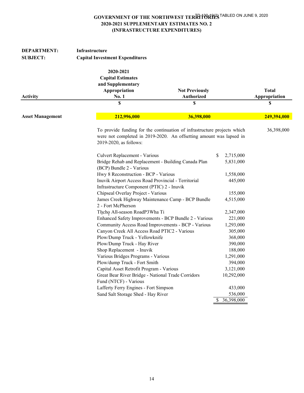| <b>DEPARTMENT:</b>      | Infrastructure                                                                                                                                                            |                       |                                    |               |
|-------------------------|---------------------------------------------------------------------------------------------------------------------------------------------------------------------------|-----------------------|------------------------------------|---------------|
| <b>SUBJECT:</b>         | <b>Capital Investment Expenditures</b>                                                                                                                                    |                       |                                    |               |
|                         | 2020-2021<br><b>Capital Estimates</b><br>and Supplementary<br>Appropriation                                                                                               | <b>Not Previously</b> |                                    | <b>Total</b>  |
| Activity                | No. 1                                                                                                                                                                     | Authorized            |                                    | Appropriation |
|                         | \$                                                                                                                                                                        | \$                    |                                    | \$            |
| <b>Asset Management</b> | 212,996,000                                                                                                                                                               | 36,398,000            |                                    | 249,394,000   |
|                         | To provide funding for the continuation of infrastructure projects which<br>were not completed in 2019-2020. An offsetting amount was lapsed in<br>2019-2020, as follows: |                       |                                    | 36,398,000    |
|                         | Culvert Replacement - Various<br>Bridge Rehab and Replacement - Building Canada Plan<br>(BCP) Bundle 2 - Various                                                          | \$                    | 2,715,000<br>5,831,000             |               |
|                         | Hwy 8 Reconstruction - BCP - Various                                                                                                                                      |                       | 1,558,000                          |               |
|                         | Inuvik Airport Access Road Provincial - Territorial<br>Infrastructure Component (PTIC) 2 - Inuvik                                                                         |                       | 445,000                            |               |
|                         | Chipseal Overlay Project - Various                                                                                                                                        |                       | 155,000                            |               |
|                         | James Creek Highway Maintenance Camp - BCP Bundle<br>2 - Fort McPherson                                                                                                   |                       | 4,515,000                          |               |
|                         | Tłįcho All-season RoadP3Wha Ti                                                                                                                                            |                       | 2,347,000                          |               |
|                         | Enhanced Safety Improvements - BCP Bundle 2 - Various                                                                                                                     |                       | 221,000                            |               |
|                         | Community Access Road Improvements - BCP - Various                                                                                                                        |                       | 1,293,000                          |               |
|                         | Canyon Creek All Access Road PTIC2 - Various                                                                                                                              |                       | 305,000                            |               |
|                         | Plow/Dump Truck - Yellowknife                                                                                                                                             |                       | 368,000                            |               |
|                         | Plow/Dump Truck - Hay River                                                                                                                                               |                       | 390,000                            |               |
|                         | Shop Replacement - Inuvik                                                                                                                                                 |                       | 188,000                            |               |
|                         | Various Bridges Programs - Various                                                                                                                                        |                       | 1,291,000                          |               |
|                         | Plow/dump Truck - Fort Smith                                                                                                                                              |                       | 394,000                            |               |
|                         | Capital Asset Retrofit Program - Various                                                                                                                                  |                       | 3,121,000                          |               |
|                         | Great Bear River Bridge - National Trade Corridors<br>Fund (NTCF) - Various                                                                                               |                       | 10,292,000                         |               |
|                         | Lafferty Ferry Engines - Fort Simpson                                                                                                                                     |                       | 433,000                            |               |
|                         | Sand Salt Storage Shed - Hay River                                                                                                                                        | S.                    | 536,000<br>$\overline{36,398,000}$ |               |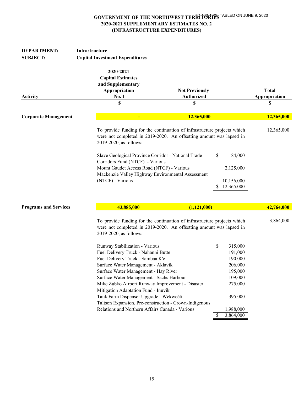| <b>DEPARTMENT:</b>                                                                            | Infrastructure                                                                                   |                                                                                                                                                 |                               |
|-----------------------------------------------------------------------------------------------|--------------------------------------------------------------------------------------------------|-------------------------------------------------------------------------------------------------------------------------------------------------|-------------------------------|
| <b>SUBJECT:</b>                                                                               | <b>Capital Investment Expenditures</b>                                                           |                                                                                                                                                 |                               |
| <b>Activity</b>                                                                               | 2020-2021<br><b>Capital Estimates</b><br>and Supplementary<br>Appropriation<br>No. 1             | <b>Not Previously</b><br><b>Authorized</b>                                                                                                      | <b>Total</b><br>Appropriation |
|                                                                                               | \$                                                                                               | \$                                                                                                                                              | \$                            |
| <b>Corporate Management</b>                                                                   | $\blacksquare$                                                                                   | 12,365,000                                                                                                                                      | 12,365,000                    |
|                                                                                               | 2019-2020, as follows:                                                                           | To provide funding for the continuation of infrastructure projects which<br>were not completed in 2019-2020. An offsetting amount was lapsed in | 12,365,000                    |
|                                                                                               | Slave Geological Province Corridor - National Trade<br>Corridors Fund (NTCF) - Various           | \$<br>84,000                                                                                                                                    |                               |
|                                                                                               | Mount Gaudet Access Road (NTCF) - Various<br>Mackenzie Valley Highway Environmental Assessment   | 2,125,000                                                                                                                                       |                               |
|                                                                                               | (NTCF) - Various                                                                                 | 10,156,000<br>12,365,000                                                                                                                        |                               |
| <b>Programs and Services</b>                                                                  | 43,885,000                                                                                       | (1,121,000)                                                                                                                                     | 42,764,000                    |
| were not completed in 2019-2020. An offsetting amount was lapsed in<br>2019-2020, as follows: |                                                                                                  | To provide funding for the continuation of infrastructure projects which                                                                        | 3,864,000                     |
|                                                                                               | Runway Stabilization - Various                                                                   | \$<br>315,000                                                                                                                                   |                               |
|                                                                                               | Fuel Delivery Truck - Nahanni Butte                                                              | 191,000                                                                                                                                         |                               |
|                                                                                               | Fuel Delivery Truck - Sambaa K'e                                                                 | 190,000                                                                                                                                         |                               |
|                                                                                               | Surface Water Management - Aklavik                                                               | 206,000                                                                                                                                         |                               |
|                                                                                               | Surface Water Management - Hay River                                                             | 195,000                                                                                                                                         |                               |
|                                                                                               | Surface Water Management - Sachs Harbour                                                         | 109,000                                                                                                                                         |                               |
|                                                                                               | Mike Zubko Airport Runway Improvement - Disaster                                                 | 275,000                                                                                                                                         |                               |
|                                                                                               | Mitigation Adaptation Fund - Inuvik                                                              |                                                                                                                                                 |                               |
|                                                                                               | Tank Farm Dispenser Upgrade - Wekweètì<br>Taltson Expansion, Pre-construction - Crown-Indigenous | 395,000                                                                                                                                         |                               |
|                                                                                               | Relations and Northern Affairs Canada - Various                                                  | 1,988,000                                                                                                                                       |                               |
|                                                                                               |                                                                                                  | 3,864,000<br>S                                                                                                                                  |                               |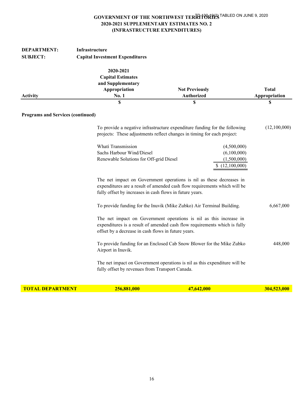| <b>DEPARTMENT:</b><br><b>SUBJECT:</b>    | Infrastructure<br><b>Capital Investment Expenditures</b>                                   |                                                                                                                                                                                                               |                               |
|------------------------------------------|--------------------------------------------------------------------------------------------|---------------------------------------------------------------------------------------------------------------------------------------------------------------------------------------------------------------|-------------------------------|
| <b>Activity</b>                          | 2020-2021<br><b>Capital Estimates</b><br>and Supplementary<br>Appropriation<br>No. 1       | <b>Not Previously</b><br>Authorized                                                                                                                                                                           | <b>Total</b><br>Appropriation |
|                                          | \$                                                                                         | \$                                                                                                                                                                                                            | \$                            |
| <b>Programs and Services (continued)</b> |                                                                                            |                                                                                                                                                                                                               |                               |
|                                          |                                                                                            | To provide a negative infrastructure expenditure funding for the following<br>projects: These adjustments reflect changes in timing for each project:                                                         | (12,100,000)                  |
|                                          | Whati Transmission<br>Sachs Harbour Wind/Diesel<br>Renewable Solutions for Off-grid Diesel | (4,500,000)<br>(6,100,000)<br>(1,500,000)<br>\$(12,100,000)                                                                                                                                                   |                               |
|                                          |                                                                                            | The net impact on Government operations is nil as these decreases in<br>expenditures are a result of amended cash flow requirements which will be<br>fully offset by increases in cash flows in future years. |                               |
|                                          |                                                                                            | To provide funding for the Inuvik (Mike Zubko) Air Terminal Building.                                                                                                                                         |                               |
|                                          |                                                                                            | The net impact on Government operations is nil as this increase in<br>expenditures is a result of amended cash flow requirements which is fully<br>offset by a decrease in cash flows in future years.        |                               |
|                                          | Airport in Inuvik.                                                                         | To provide funding for an Enclosed Cab Snow Blower for the Mike Zubko                                                                                                                                         | 448,000                       |
|                                          | fully offset by revenues from Transport Canada.                                            | The net impact on Government operations is nil as this expenditure will be                                                                                                                                    |                               |

|  |  | <u>IUIAL DEPARTMENT</u> |
|--|--|-------------------------|
|  |  |                         |

**T 256,881,000 47,642,000 304,523,000 304,523,000**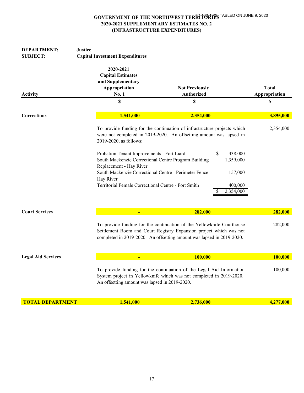| <b>DEPARTMENT:</b><br><b>SUBJECT:</b>                                                                                                                                                        | <b>Justice</b><br><b>Capital Investment Expenditures</b>                                                                                                                                                             |                                                                                                                                                                                                                                                                                     |                                     |
|----------------------------------------------------------------------------------------------------------------------------------------------------------------------------------------------|----------------------------------------------------------------------------------------------------------------------------------------------------------------------------------------------------------------------|-------------------------------------------------------------------------------------------------------------------------------------------------------------------------------------------------------------------------------------------------------------------------------------|-------------------------------------|
| Activity                                                                                                                                                                                     | 2020-2021<br><b>Capital Estimates</b><br>and Supplementary<br>Appropriation<br><b>No. 1</b><br>\$                                                                                                                    | <b>Not Previously</b><br><b>Authorized</b><br>\$                                                                                                                                                                                                                                    | <b>Total</b><br>Appropriation<br>\$ |
| <b>Corrections</b>                                                                                                                                                                           | 1,541,000                                                                                                                                                                                                            | 2,354,000                                                                                                                                                                                                                                                                           | 3,895,000                           |
|                                                                                                                                                                                              | 2019-2020, as follows:                                                                                                                                                                                               | To provide funding for the continuation of infrastructure projects which<br>were not completed in 2019-2020. An offsetting amount was lapsed in<br>\$<br>438,000<br>Probation Tenant Improvements - Fort Liard<br>South Mackenzie Correctional Centre Program Building<br>1,359,000 |                                     |
|                                                                                                                                                                                              | Replacement - Hay River                                                                                                                                                                                              |                                                                                                                                                                                                                                                                                     |                                     |
|                                                                                                                                                                                              | South Mackenzie Correctional Centre - Perimeter Fence -<br>Hay River                                                                                                                                                 | 157,000                                                                                                                                                                                                                                                                             |                                     |
|                                                                                                                                                                                              | Territorial Female Correctional Centre - Fort Smith                                                                                                                                                                  | 400,000<br>2,354,000<br>S                                                                                                                                                                                                                                                           |                                     |
| <b>Court Services</b>                                                                                                                                                                        | $\blacksquare$                                                                                                                                                                                                       | 282,000                                                                                                                                                                                                                                                                             | 282,000                             |
|                                                                                                                                                                                              | To provide funding for the continuation of the Yellowknife Courthouse<br>Settlement Room and Court Registry Expansion project which was not<br>completed in 2019-2020. An offsetting amount was lapsed in 2019-2020. |                                                                                                                                                                                                                                                                                     |                                     |
| <b>Legal Aid Services</b>                                                                                                                                                                    |                                                                                                                                                                                                                      | 100,000                                                                                                                                                                                                                                                                             | 100,000                             |
| To provide funding for the continuation of the Legal Aid Information<br>System project in Yellowknife which was not completed in 2019-2020.<br>An offsetting amount was lapsed in 2019-2020. |                                                                                                                                                                                                                      |                                                                                                                                                                                                                                                                                     | 100,000                             |
| <b>TOTAL DEPARTMENT</b>                                                                                                                                                                      | 1,541,000                                                                                                                                                                                                            | 2,736,000                                                                                                                                                                                                                                                                           | 4,277,000                           |